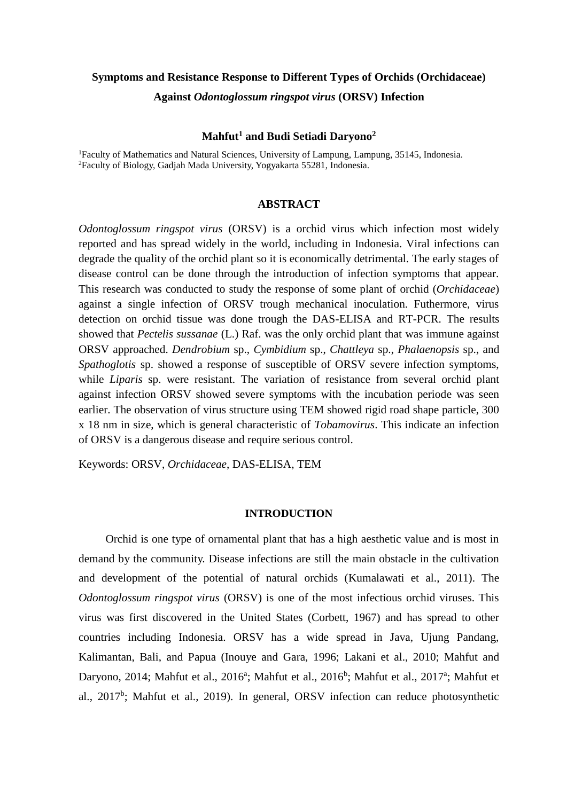# **Symptoms and Resistance Response to Different Types of Orchids (Orchidaceae) Against** *Odontoglossum ringspot virus* **(ORSV) Infection**

## **Mahfut<sup>1</sup> and Budi Setiadi Daryono<sup>2</sup>**

<sup>1</sup>Faculty of Mathematics and Natural Sciences, University of Lampung, Lampung, 35145, Indonesia. <sup>2</sup>Faculty of Biology, Gadjah Mada University, Yogyakarta 55281, Indonesia.

#### **ABSTRACT**

*Odontoglossum ringspot virus* (ORSV) is a orchid virus which infection most widely reported and has spread widely in the world, including in Indonesia. Viral infections can degrade the quality of the orchid plant so it is economically detrimental. The early stages of disease control can be done through the introduction of infection symptoms that appear. This research was conducted to study the response of some plant of orchid (*Orchidaceae*) against a single infection of ORSV trough mechanical inoculation. Futhermore, virus detection on orchid tissue was done trough the DAS-ELISA and RT-PCR. The results showed that *Pectelis sussanae* (L.) Raf. was the only orchid plant that was immune against ORSV approached. *Dendrobium* sp., *Cymbidium* sp., *Chattleya* sp., *Phalaenopsis* sp., and *Spathoglotis* sp. showed a response of susceptible of ORSV severe infection symptoms, while *Liparis* sp. were resistant. The variation of resistance from several orchid plant against infection ORSV showed severe symptoms with the incubation periode was seen earlier. The observation of virus structure using TEM showed rigid road shape particle, 300 x 18 nm in size, which is general characteristic of *Tobamovirus*. This indicate an infection of ORSV is a dangerous disease and require serious control.

Keywords: ORSV, *Orchidaceae*, DAS-ELISA, TEM

#### **INTRODUCTION**

Orchid is one type of ornamental plant that has a high aesthetic value and is most in demand by the community. Disease infections are still the main obstacle in the cultivation and development of the potential of natural orchids (Kumalawati et al., 2011). The *Odontoglossum ringspot virus* (ORSV) is one of the most infectious orchid viruses. This virus was first discovered in the United States (Corbett, 1967) and has spread to other countries including Indonesia. ORSV has a wide spread in Java, Ujung Pandang, Kalimantan, Bali, and Papua (Inouye and Gara, 1996; Lakani et al., 2010; Mahfut and Daryono, 2014; Mahfut et al., 2016<sup>a</sup>; Mahfut et al., 2016<sup>b</sup>; Mahfut et al., 2017<sup>a</sup>; Mahfut et al., 2017<sup>b</sup>; Mahfut et al., 2019). In general, ORSV infection can reduce photosynthetic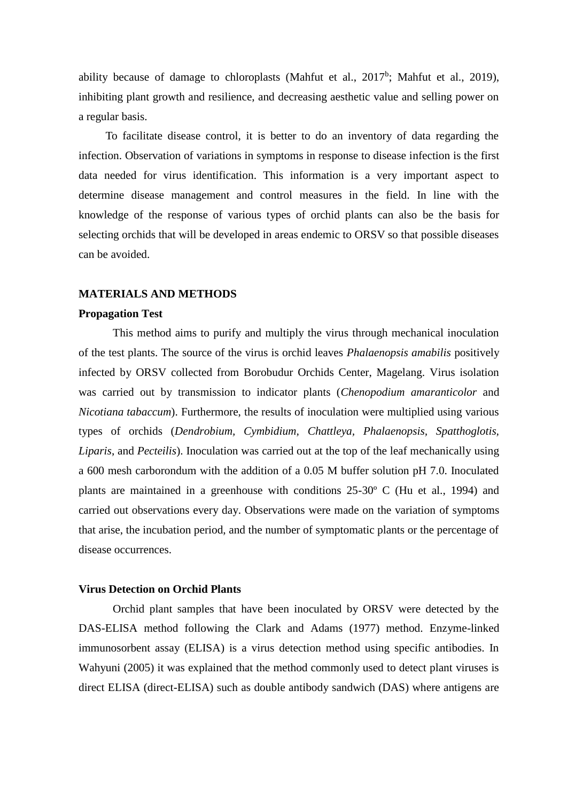ability because of damage to chloroplasts (Mahfut et al.,  $2017^b$ ; Mahfut et al., 2019), inhibiting plant growth and resilience, and decreasing aesthetic value and selling power on a regular basis.

To facilitate disease control, it is better to do an inventory of data regarding the infection. Observation of variations in symptoms in response to disease infection is the first data needed for virus identification. This information is a very important aspect to determine disease management and control measures in the field. In line with the knowledge of the response of various types of orchid plants can also be the basis for selecting orchids that will be developed in areas endemic to ORSV so that possible diseases can be avoided.

#### **MATERIALS AND METHODS**

#### **Propagation Test**

This method aims to purify and multiply the virus through mechanical inoculation of the test plants. The source of the virus is orchid leaves *Phalaenopsis amabilis* positively infected by ORSV collected from Borobudur Orchids Center, Magelang. Virus isolation was carried out by transmission to indicator plants (*Chenopodium amaranticolor* and *Nicotiana tabaccum*). Furthermore, the results of inoculation were multiplied using various types of orchids (*Dendrobium, Cymbidium, Chattleya, Phalaenopsis, Spatthoglotis, Liparis*, and *Pecteilis*). Inoculation was carried out at the top of the leaf mechanically using a 600 mesh carborondum with the addition of a 0.05 M buffer solution pH 7.0. Inoculated plants are maintained in a greenhouse with conditions 25-30º C (Hu et al., 1994) and carried out observations every day. Observations were made on the variation of symptoms that arise, the incubation period, and the number of symptomatic plants or the percentage of disease occurrences.

# **Virus Detection on Orchid Plants**

Orchid plant samples that have been inoculated by ORSV were detected by the DAS-ELISA method following the Clark and Adams (1977) method. Enzyme-linked immunosorbent assay (ELISA) is a virus detection method using specific antibodies. In Wahyuni (2005) it was explained that the method commonly used to detect plant viruses is direct ELISA (direct-ELISA) such as double antibody sandwich (DAS) where antigens are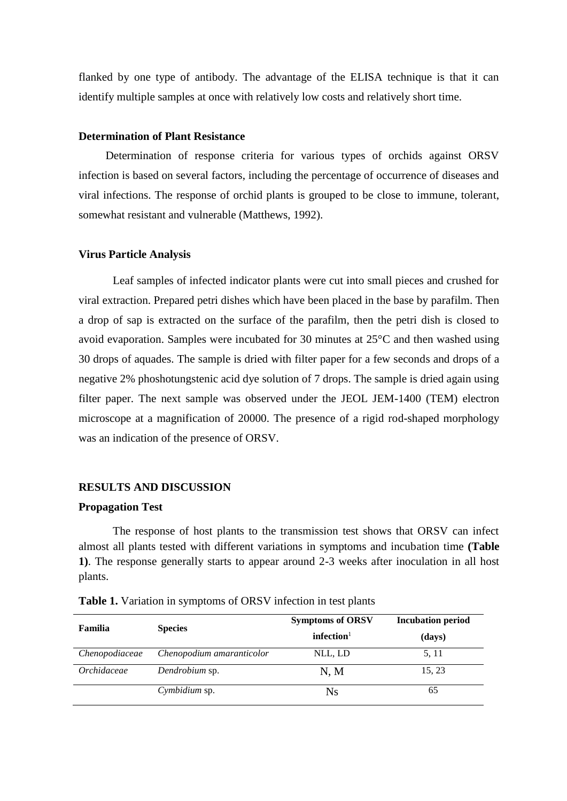flanked by one type of antibody. The advantage of the ELISA technique is that it can identify multiple samples at once with relatively low costs and relatively short time.

## **Determination of Plant Resistance**

Determination of response criteria for various types of orchids against ORSV infection is based on several factors, including the percentage of occurrence of diseases and viral infections. The response of orchid plants is grouped to be close to immune, tolerant, somewhat resistant and vulnerable (Matthews, 1992).

## **Virus Particle Analysis**

Leaf samples of infected indicator plants were cut into small pieces and crushed for viral extraction. Prepared petri dishes which have been placed in the base by parafilm. Then a drop of sap is extracted on the surface of the parafilm, then the petri dish is closed to avoid evaporation. Samples were incubated for 30 minutes at 25°C and then washed using 30 drops of aquades. The sample is dried with filter paper for a few seconds and drops of a negative 2% phoshotungstenic acid dye solution of 7 drops. The sample is dried again using filter paper. The next sample was observed under the JEOL JEM-1400 (TEM) electron microscope at a magnification of 20000. The presence of a rigid rod-shaped morphology was an indication of the presence of ORSV.

# **RESULTS AND DISCUSSION**

## **Propagation Test**

The response of host plants to the transmission test shows that ORSV can infect almost all plants tested with different variations in symptoms and incubation time **(Table 1)**. The response generally starts to appear around 2-3 weeks after inoculation in all host plants.

| Familia        | <b>Species</b>            | <b>Symptoms of ORSV</b><br>infection <sup>1</sup> | <b>Incubation period</b><br>(days) |
|----------------|---------------------------|---------------------------------------------------|------------------------------------|
| Chenopodiaceae | Chenopodium amaranticolor | NLL, LD                                           | 5, 11                              |
| Orchidaceae    | Dendrobium sp.            | N, M                                              | 15, 23                             |
|                | Cymbidium sp.             | <b>Ns</b>                                         | 65                                 |

**Table 1.** Variation in symptoms of ORSV infection in test plants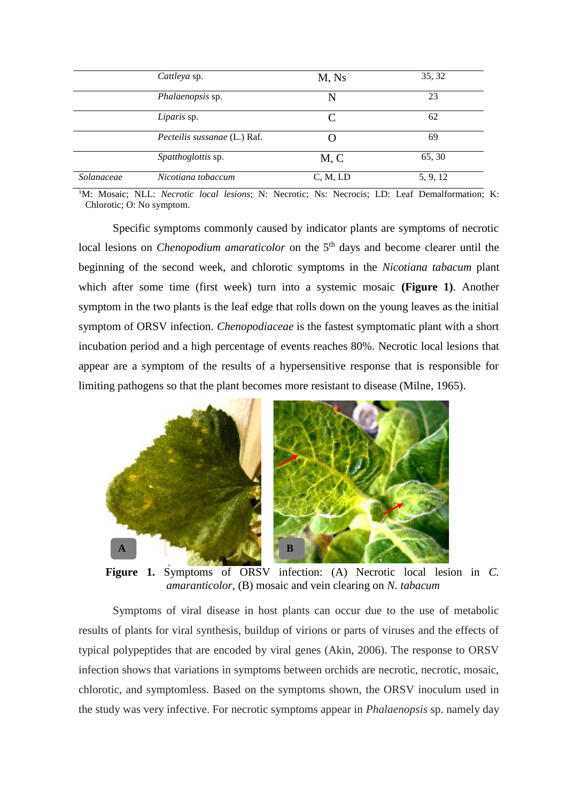|            | Cattleya sp.                        | M, Ns    | 35, 32   |
|------------|-------------------------------------|----------|----------|
|            | Phalaenopsis sp.                    | N        | 23       |
|            | Liparis sp.                         |          | 62       |
|            | <i>Pecteilis sussanae</i> (L.) Raf. |          | 69       |
|            | Spatthoglottis sp.                  | M, C     | 65, 30   |
| Solanaceae | Nicotiana tobaccum                  | C, M, LD | 5, 9, 12 |

<sup>1</sup>M: Mosaic; NLL: *Necrotic local lesions*; N: Necrotic; Ns: Necrocis; LD: Leaf Demalformation; K: Chlorotic; O: No symptom.

Specific symptoms commonly caused by indicator plants are symptoms of necrotic local lesions on *Chenopodium amaraticolor* on the 5<sup>th</sup> days and become clearer until the beginning of the second week, and chlorotic symptoms in the *Nicotiana tabacum* plant which after some time (first week) turn into a systemic mosaic **(Figure 1)**. Another symptom in the two plants is the leaf edge that rolls down on the young leaves as the initial symptom of ORSV infection. *Chenopodiaceae* is the fastest symptomatic plant with a short incubation period and a high percentage of events reaches 80%. Necrotic local lesions that appear are a symptom of the results of a hypersensitive response that is responsible for limiting pathogens so that the plant becomes more resistant to disease (Milne, 1965).



**Figure 1.** Symptoms of ORSV infection: (A) Necrotic local lesion in *C. amaranticolor*, (B) mosaic and vein clearing on *N. tabacum*

Symptoms of viral disease in host plants can occur due to the use of metabolic results of plants for viral synthesis, buildup of virions or parts of viruses and the effects of typical polypeptides that are encoded by viral genes (Akin, 2006). The response to ORSV infection shows that variations in symptoms between orchids are necrotic, necrotic, mosaic, chlorotic, and symptomless. Based on the symptoms shown, the ORSV inoculum used in the study was very infective. For necrotic symptoms appear in *Phalaenopsis* sp. namely day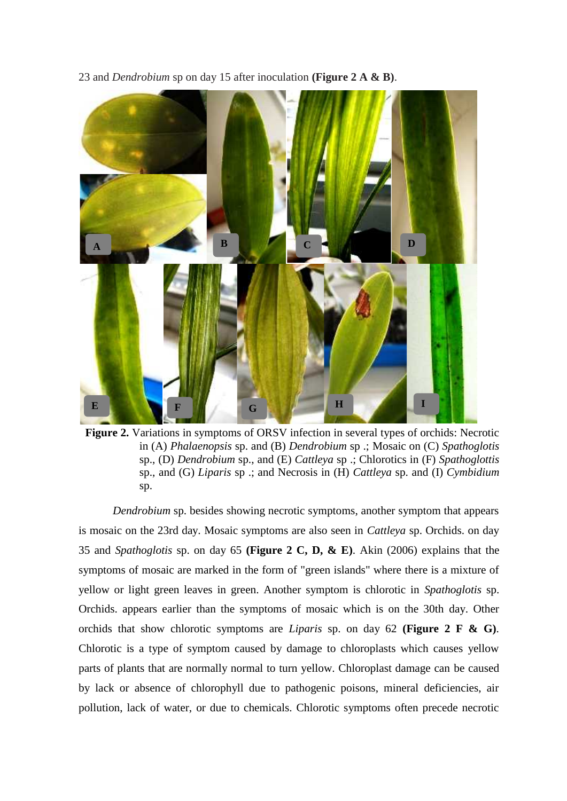23 and *Dendrobium* sp on day 15 after inoculation **(Figure 2 A & B)**.



**Figure 2.** Variations in symptoms of ORSV infection in several types of orchids: Necrotic in (A) *Phalaenopsis* sp. and (B) *Dendrobium* sp .; Mosaic on (C) *Spathoglotis* sp., (D) *Dendrobium* sp., and (E) *Cattleya* sp .; Chlorotics in (F) *Spathoglottis* sp., and (G) *Liparis* sp .; and Necrosis in (H) *Cattleya* sp. and (I) *Cymbidium* sp.

*Dendrobium* sp. besides showing necrotic symptoms, another symptom that appears is mosaic on the 23rd day. Mosaic symptoms are also seen in *Cattleya* sp. Orchids. on day 35 and *Spathoglotis* sp. on day 65 **(Figure 2 C, D, & E)**. Akin (2006) explains that the symptoms of mosaic are marked in the form of "green islands" where there is a mixture of yellow or light green leaves in green. Another symptom is chlorotic in *Spathoglotis* sp. Orchids. appears earlier than the symptoms of mosaic which is on the 30th day. Other orchids that show chlorotic symptoms are *Liparis* sp. on day 62 **(Figure 2 F & G)**. Chlorotic is a type of symptom caused by damage to chloroplasts which causes yellow parts of plants that are normally normal to turn yellow. Chloroplast damage can be caused by lack or absence of chlorophyll due to pathogenic poisons, mineral deficiencies, air pollution, lack of water, or due to chemicals. Chlorotic symptoms often precede necrotic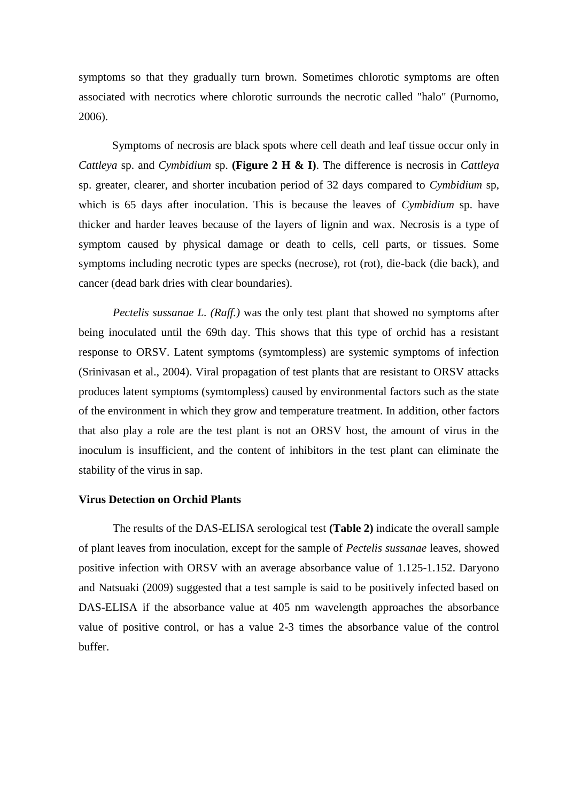symptoms so that they gradually turn brown. Sometimes chlorotic symptoms are often associated with necrotics where chlorotic surrounds the necrotic called "halo" (Purnomo, 2006).

Symptoms of necrosis are black spots where cell death and leaf tissue occur only in *Cattleya* sp. and *Cymbidium* sp. **(Figure 2 H & I)**. The difference is necrosis in *Cattleya* sp. greater, clearer, and shorter incubation period of 32 days compared to *Cymbidium* sp, which is 65 days after inoculation. This is because the leaves of *Cymbidium* sp. have thicker and harder leaves because of the layers of lignin and wax. Necrosis is a type of symptom caused by physical damage or death to cells, cell parts, or tissues. Some symptoms including necrotic types are specks (necrose), rot (rot), die-back (die back), and cancer (dead bark dries with clear boundaries).

*Pectelis sussanae L. (Raff.)* was the only test plant that showed no symptoms after being inoculated until the 69th day. This shows that this type of orchid has a resistant response to ORSV. Latent symptoms (symtompless) are systemic symptoms of infection (Srinivasan et al., 2004). Viral propagation of test plants that are resistant to ORSV attacks produces latent symptoms (symtompless) caused by environmental factors such as the state of the environment in which they grow and temperature treatment. In addition, other factors that also play a role are the test plant is not an ORSV host, the amount of virus in the inoculum is insufficient, and the content of inhibitors in the test plant can eliminate the stability of the virus in sap.

## **Virus Detection on Orchid Plants**

The results of the DAS-ELISA serological test **(Table 2)** indicate the overall sample of plant leaves from inoculation, except for the sample of *Pectelis sussanae* leaves, showed positive infection with ORSV with an average absorbance value of 1.125-1.152. Daryono and Natsuaki (2009) suggested that a test sample is said to be positively infected based on DAS-ELISA if the absorbance value at 405 nm wavelength approaches the absorbance value of positive control, or has a value 2-3 times the absorbance value of the control buffer.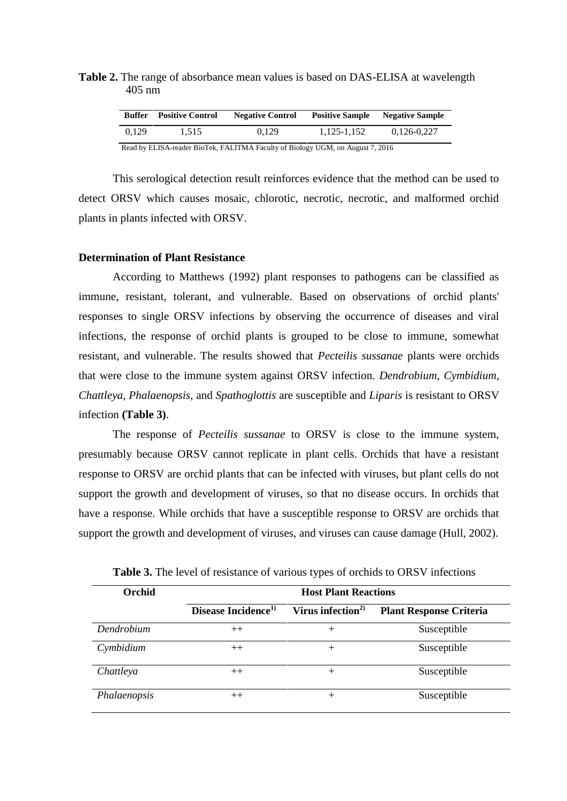# **Table 2.** The range of absorbance mean values is based on DAS-ELISA at wavelength 405 nm

| Buffer | <b>Positive Control</b> | <b>Negative Control</b> | <b>Positive Sample</b> | <b>Negative Sample</b> |
|--------|-------------------------|-------------------------|------------------------|------------------------|
| 0.129  | 1.515                   | 0.129                   | 1,125-1,152            | 0.126-0.227            |

Read by ELISA-reader BioTek, FALITMA Faculty of Biology UGM, on August 7, 2016

This serological detection result reinforces evidence that the method can be used to detect ORSV which causes mosaic, chlorotic, necrotic, necrotic, and malformed orchid plants in plants infected with ORSV.

# **Determination of Plant Resistance**

According to Matthews (1992) plant responses to pathogens can be classified as immune, resistant, tolerant, and vulnerable. Based on observations of orchid plants' responses to single ORSV infections by observing the occurrence of diseases and viral infections, the response of orchid plants is grouped to be close to immune, somewhat resistant, and vulnerable. The results showed that *Pecteilis sussanae* plants were orchids that were close to the immune system against ORSV infection. *Dendrobium, Cymbidium, Chattleya, Phalaenopsis,* and *Spathoglottis* are susceptible and *Liparis* is resistant to ORSV infection **(Table 3)**.

The response of *Pecteilis sussanae* to ORSV is close to the immune system, presumably because ORSV cannot replicate in plant cells. Orchids that have a resistant response to ORSV are orchid plants that can be infected with viruses, but plant cells do not support the growth and development of viruses, so that no disease occurs. In orchids that have a response. While orchids that have a susceptible response to ORSV are orchids that support the growth and development of viruses, and viruses can cause damage (Hull, 2002).

| Orchid       | <b>Host Plant Reactions</b>     |                               |                                |  |
|--------------|---------------------------------|-------------------------------|--------------------------------|--|
|              | Disease Incidence <sup>1)</sup> | Virus infection <sup>2)</sup> | <b>Plant Response Criteria</b> |  |
| Dendrobium   | $++$                            | $^+$                          | Susceptible                    |  |
| Cymbidium    | $++$                            | $^+$                          | Susceptible                    |  |
| Chattleya    | $++$                            | $^{+}$                        | Susceptible                    |  |
| Phalaenopsis |                                 | ┿                             | Susceptible                    |  |

**Table 3.** The level of resistance of various types of orchids to ORSV infections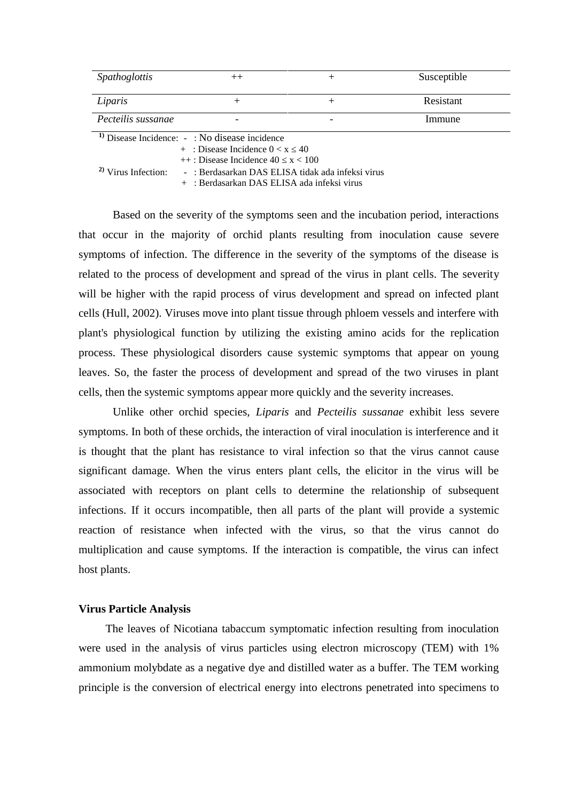| Spathoglottis                                     | $^{++}$                                           | ┿ | Susceptible |  |  |
|---------------------------------------------------|---------------------------------------------------|---|-------------|--|--|
|                                                   |                                                   |   |             |  |  |
| Liparis                                           |                                                   |   | Resistant   |  |  |
| Pecteilis sussanae                                |                                                   |   | Immune      |  |  |
| $1$ Disease Incidence: $-$ : No disease incidence |                                                   |   |             |  |  |
|                                                   | $+$ : Disease Incidence $0 < x$ 40                |   |             |  |  |
| $++$ : Disease Incidence 40 $x < 100$             |                                                   |   |             |  |  |
| $\frac{2}{3}$ Virus Infection:                    | - : Berdasarkan DAS ELISA tidak ada infeksi virus |   |             |  |  |

+ : Berdasarkan DAS ELISA ada infeksi virus

Based on the severity of the symptoms seen and the incubation period, interactions that occur in the majority of orchid plants resulting from inoculation cause severe symptoms of infection. The difference in the severity of the symptoms of the disease is related to the process of development and spread of the virus in plant cells. The severity will be higher with the rapid process of virus development and spread on infected plant cells (Hull, 2002). Viruses move into plant tissue through phloem vessels and interfere with plant's physiological function by utilizing the existing amino acids for the replication process. These physiological disorders cause systemic symptoms that appear on young leaves. So, the faster the process of development and spread of the two viruses in plant cells, then the systemic symptoms appear more quickly and the severity increases.

Unlike other orchid species, *Liparis* and *Pecteilis sussanae* exhibit less severe symptoms. In both of these orchids, the interaction of viral inoculation is interference and it is thought that the plant has resistance to viral infection so that the virus cannot cause significant damage. When the virus enters plant cells, the elicitor in the virus will be associated with receptors on plant cells to determine the relationship of subsequent infections. If it occurs incompatible, then all parts of the plant will provide a systemic reaction of resistance when infected with the virus, so that the virus cannot do multiplication and cause symptoms. If the interaction is compatible, the virus can infect host plants.

#### **Virus Particle Analysis**

The leaves of Nicotiana tabaccum symptomatic infection resulting from inoculation were used in the analysis of virus particles using electron microscopy (TEM) with 1% ammonium molybdate as a negative dye and distilled water as a buffer. The TEM working principle is the conversion of electrical energy into electrons penetrated into specimens to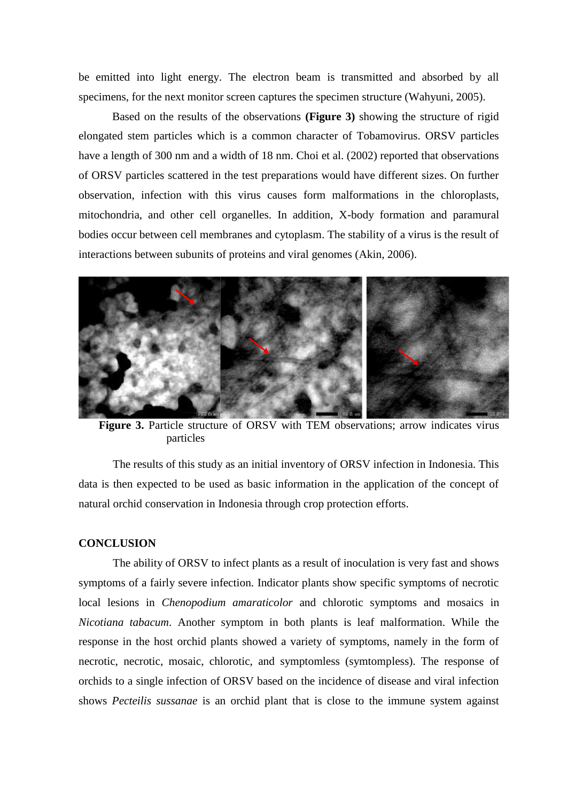be emitted into light energy. The electron beam is transmitted and absorbed by all specimens, for the next monitor screen captures the specimen structure (Wahyuni, 2005).

Based on the results of the observations **(Figure 3)** showing the structure of rigid elongated stem particles which is a common character of Tobamovirus. ORSV particles have a length of 300 nm and a width of 18 nm. Choi et al. (2002) reported that observations of ORSV particles scattered in the test preparations would have different sizes. On further observation, infection with this virus causes form malformations in the chloroplasts, mitochondria, and other cell organelles. In addition, X-body formation and paramural bodies occur between cell membranes and cytoplasm. The stability of a virus is the result of interactions between subunits of proteins and viral genomes (Akin, 2006).



**Figure 3.** Particle structure of ORSV with TEM observations; arrow indicates virus particles

The results of this study as an initial inventory of ORSV infection in Indonesia. This data is then expected to be used as basic information in the application of the concept of natural orchid conservation in Indonesia through crop protection efforts.

## **CONCLUSION**

The ability of ORSV to infect plants as a result of inoculation is very fast and shows symptoms of a fairly severe infection. Indicator plants show specific symptoms of necrotic local lesions in *Chenopodium amaraticolor* and chlorotic symptoms and mosaics in *Nicotiana tabacum*. Another symptom in both plants is leaf malformation. While the response in the host orchid plants showed a variety of symptoms, namely in the form of necrotic, necrotic, mosaic, chlorotic, and symptomless (symtompless). The response of orchids to a single infection of ORSV based on the incidence of disease and viral infection shows *Pecteilis sussanae* is an orchid plant that is close to the immune system against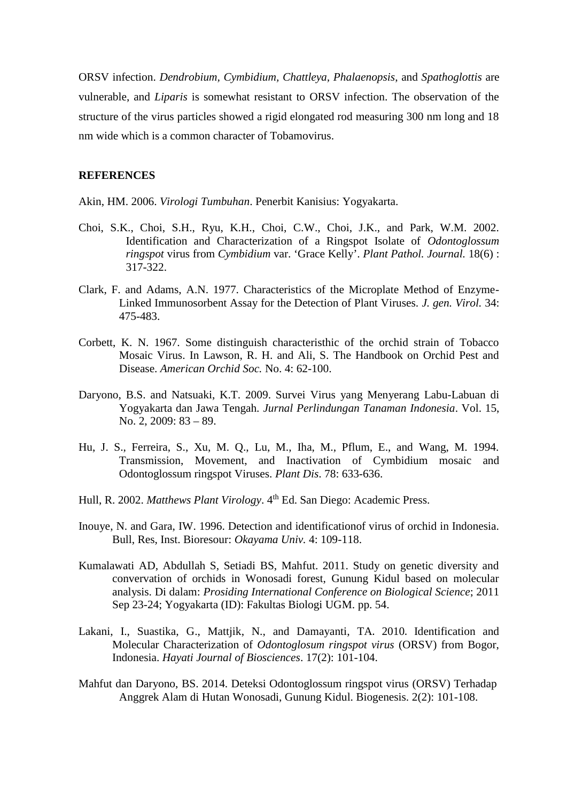ORSV infection. *Dendrobium, Cymbidium, Chattleya, Phalaenopsis*, and *Spathoglottis* are vulnerable, and *Liparis* is somewhat resistant to ORSV infection. The observation of the structure of the virus particles showed a rigid elongated rod measuring 300 nm long and 18 nm wide which is a common character of Tobamovirus.

# **REFERENCES**

Akin, HM. 2006. *Virologi Tumbuhan*. Penerbit Kanisius: Yogyakarta.

- Choi, S.K., Choi, S.H., Ryu, K.H., Choi, C.W., Choi, J.K., and Park, W.M. 2002. Identification and Characterization of a Ringspot Isolate of *Odontoglossum ringspot* virus from *Cymbidium* var. 'Grace Kelly'. *Plant Pathol. Journal.* 18(6) : 317-322.
- Clark, F. and Adams, A.N. 1977. Characteristics of the Microplate Method of Enzyme- Linked Immunosorbent Assay for the Detection of Plant Viruses. *J. gen. Virol.* 34: 475-483.
- Corbett, K. N. 1967. Some distinguish characteristhic of the orchid strain of Tobacco Mosaic Virus. In Lawson, R. H. and Ali, S. The Handbook on Orchid Pest and Disease. *American Orchid Soc.* No. 4: 62-100.
- Daryono, B.S. and Natsuaki, K.T. 2009. Survei Virus yang Menyerang Labu-Labuan di Yogyakarta dan Jawa Tengah. *Jurnal Perlindungan Tanaman Indonesia*. Vol. 15, No. 2, 2009: 83 – 89.
- Hu, J. S., Ferreira, S., Xu, M. Q., Lu, M., Iha, M., Pflum, E., and Wang, M. 1994. Transmission, Movement, and Inactivation of Cymbidium mosaic and Odontoglossum ringspot Viruses. *Plant Dis*. 78: 633-636.
- Hull, R. 2002. *Matthews Plant Virology*. 4<sup>th</sup> Ed. San Diego: Academic Press.
- Inouye, N. and Gara, IW. 1996. Detection and identificationof virus of orchid in Indonesia. Bull, Res, Inst. Bioresour: *Okayama Univ.* 4: 109-118.
- Kumalawati AD, Abdullah S, Setiadi BS, Mahfut. 2011. Study on genetic diversity and convervation of orchids in Wonosadi forest, Gunung Kidul based on molecular analysis. Di dalam: *Prosiding International Conference on Biological Science*; 2011 Sep 23-24; Yogyakarta (ID): Fakultas Biologi UGM. pp. 54.
- Lakani, I., Suastika, G., Mattjik, N., and Damayanti, TA. 2010. Identification and Molecular Characterization of *Odontoglosum ringspot virus* (ORSV) from Bogor, Indonesia. *Hayati Journal of Biosciences*. 17(2): 101-104.
- Mahfut dan Daryono, BS. 2014. Deteksi Odontoglossum ringspot virus (ORSV) Terhadap Anggrek Alam di Hutan Wonosadi, Gunung Kidul. Biogenesis. 2(2): 101-108.